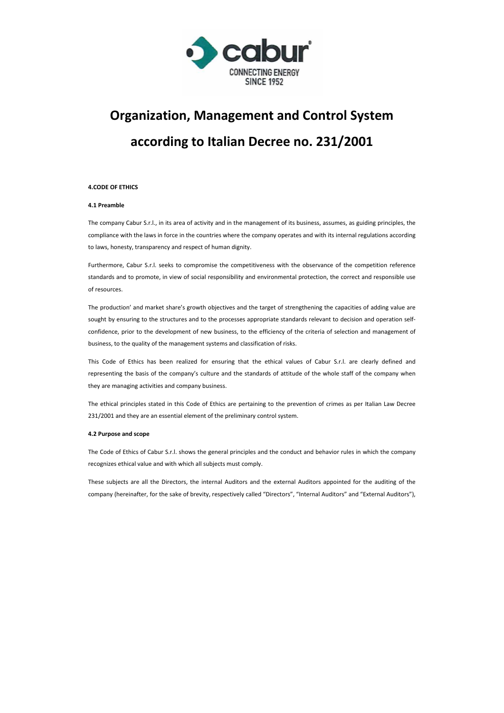

# **Organization, Management and Control System according to Italian Decree no. 231/2001**

# **4.CODE OF ETHICS**

# **4.1 Preamble**

The company Cabur S.r.l., in its area of activity and in the management of its business, assumes, as guiding principles, the compliance with the laws in force in the countries where the company operates and with its internal regulations according to laws, honesty, transparency and respect of human dignity.

Furthermore, Cabur S.r.l. seeks to compromise the competitiveness with the observance of the competition reference standards and to promote, in view of social responsibility and environmental protection, the correct and responsible use of resources.

The production' and market share's growth objectives and the target of strengthening the capacities of adding value are sought by ensuring to the structures and to the processes appropriate standards relevant to decision and operation selfconfidence, prior to the development of new business, to the efficiency of the criteria of selection and management of business, to the quality of the management systems and classification of risks.

This Code of Ethics has been realized for ensuring that the ethical values of Cabur S.r.l. are clearly defined and representing the basis of the company's culture and the standards of attitude of the whole staff of the company when they are managing activities and company business.

The ethical principles stated in this Code of Ethics are pertaining to the prevention of crimes as per Italian Law Decree 231/2001 and they are an essential element of the preliminary control system.

# **4.2 Purpose and scope**

The Code of Ethics of Cabur S.r.l. shows the general principles and the conduct and behavior rules in which the company recognizes ethical value and with which all subjects must comply.

These subjects are all the Directors, the internal Auditors and the external Auditors appointed for the auditing of the company (hereinafter, for the sake of brevity, respectively called "Directors", "Internal Auditors" and "External Auditors"),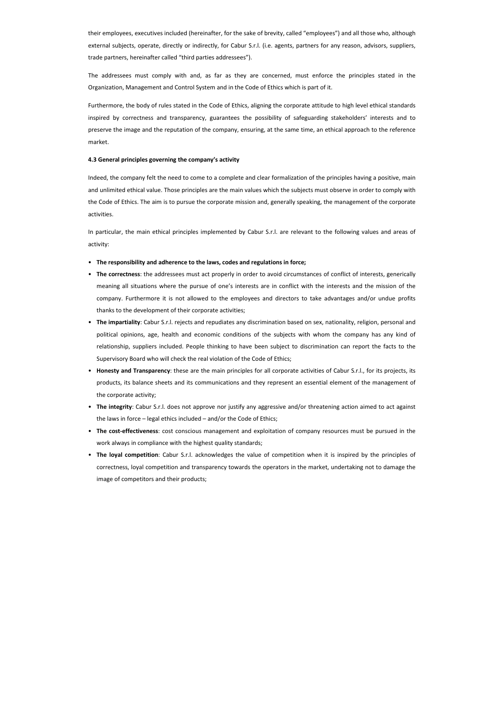their employees, executives included (hereinafter, for the sake of brevity, called "employees") and all those who, although external subjects, operate, directly or indirectly, for Cabur S.r.l. (i.e. agents, partners for any reason, advisors, suppliers, trade partners, hereinafter called "third parties addressees").

The addressees must comply with and, as far as they are concerned, must enforce the principles stated in the Organization, Management and Control System and in the Code of Ethics which is part of it.

Furthermore, the body of rules stated in the Code of Ethics, aligning the corporate attitude to high level ethical standards inspired by correctness and transparency, guarantees the possibility of safeguarding stakeholders' interests and to preserve the image and the reputation of the company, ensuring, at the same time, an ethical approach to the reference market.

## **4.3 General principles governing the company's activity**

Indeed, the company felt the need to come to a complete and clear formalization of the principles having a positive, main and unlimited ethical value. Those principles are the main values which the subjects must observe in order to comply with the Code of Ethics. The aim is to pursue the corporate mission and, generally speaking, the management of the corporate activities.

In particular, the main ethical principles implemented by Cabur S.r.l. are relevant to the following values and areas of activity:

- **The responsibility and adherence to the laws, codes and regulations in force;**
- **The correctness**: the addressees must act properly in order to avoid circumstances of conflict of interests, generically meaning all situations where the pursue of one's interests are in conflict with the interests and the mission of the company. Furthermore it is not allowed to the employees and directors to take advantages and/or undue profits thanks to the development of their corporate activities;
- **The impartiality**: Cabur S.r.l. rejects and repudiates any discrimination based on sex, nationality, religion, personal and political opinions, age, health and economic conditions of the subjects with whom the company has any kind of relationship, suppliers included. People thinking to have been subject to discrimination can report the facts to the Supervisory Board who will check the real violation of the Code of Ethics;
- **Honesty and Transparency**: these are the main principles for all corporate activities of Cabur S.r.l., for its projects, its products, its balance sheets and its communications and they represent an essential element of the management of the corporate activity;
- **The integrity**: Cabur S.r.l. does not approve nor justify any aggressive and/or threatening action aimed to act against the laws in force – legal ethics included – and/or the Code of Ethics;
- **The cost-effectiveness**: cost conscious management and exploitation of company resources must be pursued in the work always in compliance with the highest quality standards;
- **The loyal competition**: Cabur S.r.l. acknowledges the value of competition when it is inspired by the principles of correctness, loyal competition and transparency towards the operators in the market, undertaking not to damage the image of competitors and their products;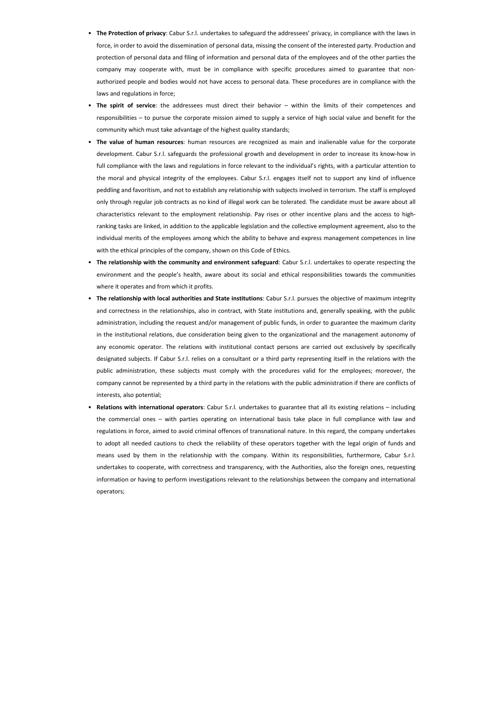- **The Protection of privacy**: Cabur S.r.l. undertakes to safeguard the addressees' privacy, in compliance with the laws in force, in order to avoid the dissemination of personal data, missing the consent of the interested party. Production and protection of personal data and filing of information and personal data of the employees and of the other parties the company may cooperate with, must be in compliance with specific procedures aimed to guarantee that nonauthorized people and bodies would not have access to personal data. These procedures are in compliance with the laws and regulations in force;
- **The spirit of service**: the addressees must direct their behavior within the limits of their competences and responsibilities – to pursue the corporate mission aimed to supply a service of high social value and benefit for the community which must take advantage of the highest quality standards;
- **The value of human resources**: human resources are recognized as main and inalienable value for the corporate development. Cabur S.r.l. safeguards the professional growth and development in order to increase its know-how in full compliance with the laws and regulations in force relevant to the individual's rights, with a particular attention to the moral and physical integrity of the employees. Cabur S.r.l. engages itself not to support any kind of influence peddling and favoritism, and not to establish any relationship with subjects involved in terrorism. The staff is employed only through regular job contracts as no kind of illegal work can be tolerated. The candidate must be aware about all characteristics relevant to the employment relationship. Pay rises or other incentive plans and the access to highranking tasks are linked, in addition to the applicable legislation and the collective employment agreement, also to the individual merits of the employees among which the ability to behave and express management competences in line with the ethical principles of the company, shown on this Code of Ethics.
- **The relationship with the community and environment safeguard**: Cabur S.r.l. undertakes to operate respecting the environment and the people's health, aware about its social and ethical responsibilities towards the communities where it operates and from which it profits.
- **The relationship with local authorities and State institutions**: Cabur S.r.l. pursues the objective of maximum integrity and correctness in the relationships, also in contract, with State institutions and, generally speaking, with the public administration, including the request and/or management of public funds, in order to guarantee the maximum clarity in the institutional relations, due consideration being given to the organizational and the management autonomy of any economic operator. The relations with institutional contact persons are carried out exclusively by specifically designated subjects. If Cabur S.r.l. relies on a consultant or a third party representing itself in the relations with the public administration, these subjects must comply with the procedures valid for the employees; moreover, the company cannot be represented by a third party in the relations with the public administration if there are conflicts of interests, also potential;
- **Relations with international operators**: Cabur S.r.l. undertakes to guarantee that all its existing relations including the commercial ones – with parties operating on international basis take place in full compliance with law and regulations in force, aimed to avoid criminal offences of transnational nature. In this regard, the company undertakes to adopt all needed cautions to check the reliability of these operators together with the legal origin of funds and means used by them in the relationship with the company. Within its responsibilities, furthermore, Cabur S.r.l. undertakes to cooperate, with correctness and transparency, with the Authorities, also the foreign ones, requesting information or having to perform investigations relevant to the relationships between the company and international operators;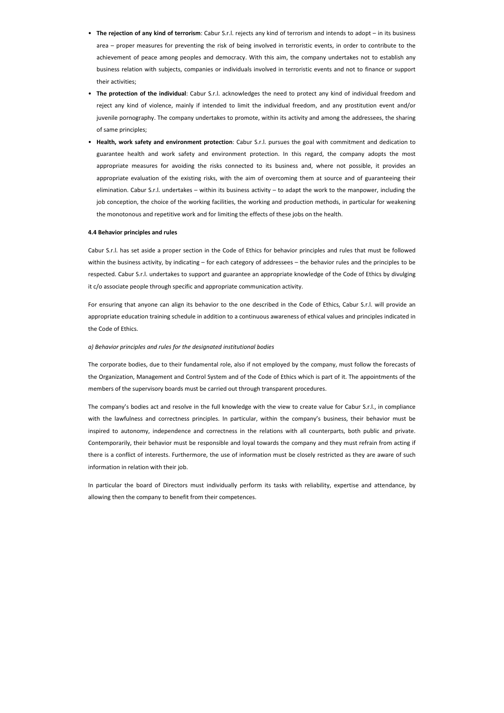- **The rejection of any kind of terrorism**: Cabur S.r.l. rejects any kind of terrorism and intends to adopt in its business area – proper measures for preventing the risk of being involved in terroristic events, in order to contribute to the achievement of peace among peoples and democracy. With this aim, the company undertakes not to establish any business relation with subjects, companies or individuals involved in terroristic events and not to finance or support their activities;
- **The protection of the individual**: Cabur S.r.l. acknowledges the need to protect any kind of individual freedom and reject any kind of violence, mainly if intended to limit the individual freedom, and any prostitution event and/or juvenile pornography. The company undertakes to promote, within its activity and among the addressees, the sharing of same principles;
- **Health, work safety and environment protection**: Cabur S.r.l. pursues the goal with commitment and dedication to guarantee health and work safety and environment protection. In this regard, the company adopts the most appropriate measures for avoiding the risks connected to its business and, where not possible, it provides an appropriate evaluation of the existing risks, with the aim of overcoming them at source and of guaranteeing their elimination. Cabur S.r.l. undertakes – within its business activity – to adapt the work to the manpower, including the job conception, the choice of the working facilities, the working and production methods, in particular for weakening the monotonous and repetitive work and for limiting the effects of these jobs on the health.

#### **4.4 Behavior principles and rules**

Cabur S.r.l. has set aside a proper section in the Code of Ethics for behavior principles and rules that must be followed within the business activity, by indicating – for each category of addressees – the behavior rules and the principles to be respected. Cabur S.r.l. undertakes to support and guarantee an appropriate knowledge of the Code of Ethics by divulging it c/o associate people through specific and appropriate communication activity.

For ensuring that anyone can align its behavior to the one described in the Code of Ethics, Cabur S.r.l. will provide an appropriate education training schedule in addition to a continuous awareness of ethical values and principles indicated in the Code of Ethics.

## *a) Behavior principles and rules for the designated institutional bodies*

The corporate bodies, due to their fundamental role, also if not employed by the company, must follow the forecasts of the Organization, Management and Control System and of the Code of Ethics which is part of it. The appointments of the members of the supervisory boards must be carried out through transparent procedures.

The company's bodies act and resolve in the full knowledge with the view to create value for Cabur S.r.l., in compliance with the lawfulness and correctness principles. In particular, within the company's business, their behavior must be inspired to autonomy, independence and correctness in the relations with all counterparts, both public and private. Contemporarily, their behavior must be responsible and loyal towards the company and they must refrain from acting if there is a conflict of interests. Furthermore, the use of information must be closely restricted as they are aware of such information in relation with their job.

In particular the board of Directors must individually perform its tasks with reliability, expertise and attendance, by allowing then the company to benefit from their competences.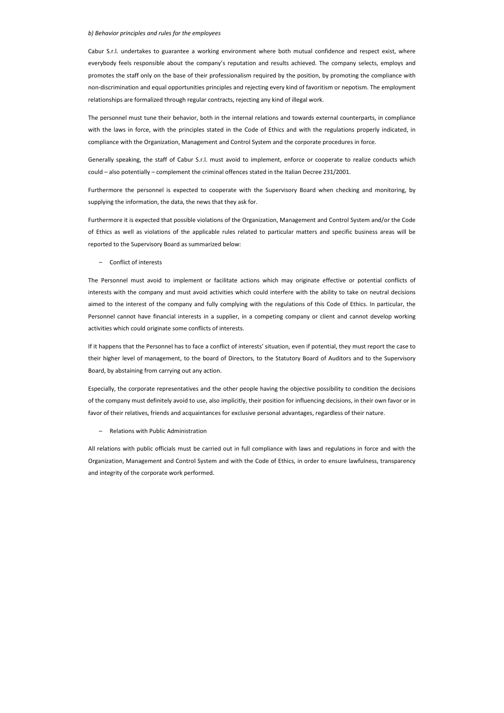## *b) Behavior principles and rules for the employees*

Cabur S.r.l. undertakes to guarantee a working environment where both mutual confidence and respect exist, where everybody feels responsible about the company's reputation and results achieved. The company selects, employs and promotes the staff only on the base of their professionalism required by the position, by promoting the compliance with non-discrimination and equal opportunities principles and rejecting every kind of favoritism or nepotism. The employment relationships are formalized through regular contracts, rejecting any kind of illegal work.

The personnel must tune their behavior, both in the internal relations and towards external counterparts, in compliance with the laws in force, with the principles stated in the Code of Ethics and with the regulations properly indicated, in compliance with the Organization, Management and Control System and the corporate procedures in force.

Generally speaking, the staff of Cabur S.r.l. must avoid to implement, enforce or cooperate to realize conducts which could – also potentially – complement the criminal offences stated in the Italian Decree 231/2001.

Furthermore the personnel is expected to cooperate with the Supervisory Board when checking and monitoring, by supplying the information, the data, the news that they ask for.

Furthermore it is expected that possible violations of the Organization, Management and Control System and/or the Code of Ethics as well as violations of the applicable rules related to particular matters and specific business areas will be reported to the Supervisory Board as summarized below:

– Conflict of interests

The Personnel must avoid to implement or facilitate actions which may originate effective or potential conflicts of interests with the company and must avoid activities which could interfere with the ability to take on neutral decisions aimed to the interest of the company and fully complying with the regulations of this Code of Ethics. In particular, the Personnel cannot have financial interests in a supplier, in a competing company or client and cannot develop working activities which could originate some conflicts of interests.

If it happens that the Personnel has to face a conflict of interests' situation, even if potential, they must report the case to their higher level of management, to the board of Directors, to the Statutory Board of Auditors and to the Supervisory Board, by abstaining from carrying out any action.

Especially, the corporate representatives and the other people having the objective possibility to condition the decisions of the company must definitely avoid to use, also implicitly, their position for influencing decisions, in their own favor or in favor of their relatives, friends and acquaintances for exclusive personal advantages, regardless of their nature.

– Relations with Public Administration

All relations with public officials must be carried out in full compliance with laws and regulations in force and with the Organization, Management and Control System and with the Code of Ethics, in order to ensure lawfulness, transparency and integrity of the corporate work performed.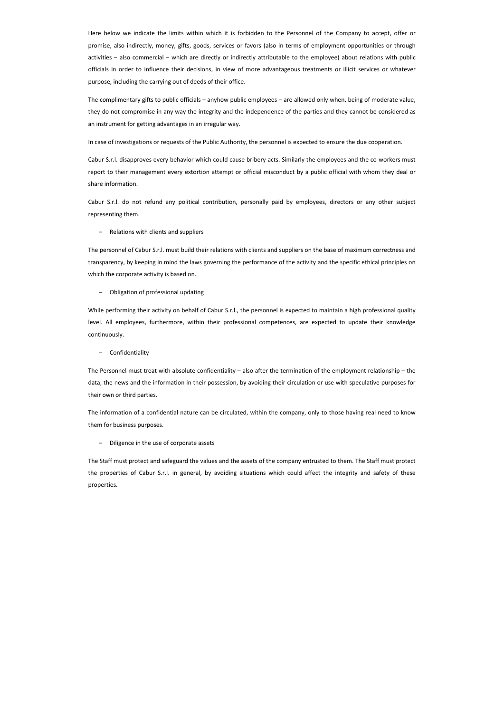Here below we indicate the limits within which it is forbidden to the Personnel of the Company to accept, offer or promise, also indirectly, money, gifts, goods, services or favors (also in terms of employment opportunities or through activities – also commercial – which are directly or indirectly attributable to the employee) about relations with public officials in order to influence their decisions, in view of more advantageous treatments or illicit services or whatever purpose, including the carrying out of deeds of their office.

The complimentary gifts to public officials – anyhow public employees – are allowed only when, being of moderate value, they do not compromise in any way the integrity and the independence of the parties and they cannot be considered as an instrument for getting advantages in an irregular way.

In case of investigations or requests of the Public Authority, the personnel is expected to ensure the due cooperation.

Cabur S.r.l. disapproves every behavior which could cause bribery acts. Similarly the employees and the co-workers must report to their management every extortion attempt or official misconduct by a public official with whom they deal or share information.

Cabur S.r.l. do not refund any political contribution, personally paid by employees, directors or any other subject representing them.

– Relations with clients and suppliers

The personnel of Cabur S.r.l. must build their relations with clients and suppliers on the base of maximum correctness and transparency, by keeping in mind the laws governing the performance of the activity and the specific ethical principles on which the corporate activity is based on.

#### – Obligation of professional updating

While performing their activity on behalf of Cabur S.r.l., the personnel is expected to maintain a high professional quality level. All employees, furthermore, within their professional competences, are expected to update their knowledge continuously.

#### – Confidentiality

The Personnel must treat with absolute confidentiality – also after the termination of the employment relationship – the data, the news and the information in their possession, by avoiding their circulation or use with speculative purposes for their own or third parties.

The information of a confidential nature can be circulated, within the company, only to those having real need to know them for business purposes.

– Diligence in the use of corporate assets

The Staff must protect and safeguard the values and the assets of the company entrusted to them. The Staff must protect the properties of Cabur S.r.l. in general, by avoiding situations which could affect the integrity and safety of these properties.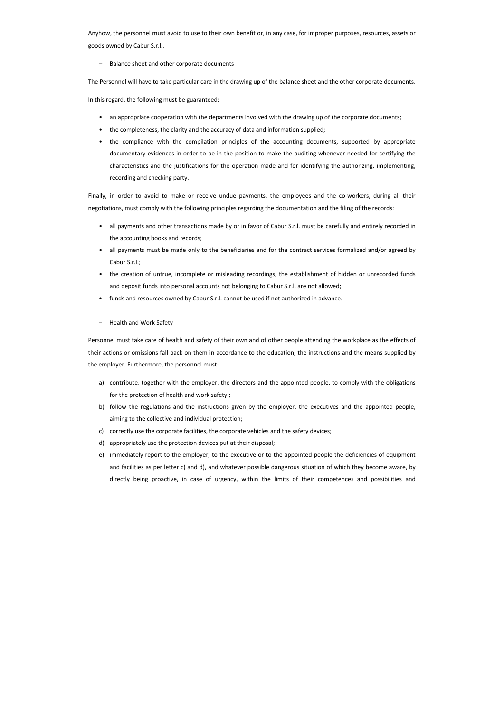Anyhow, the personnel must avoid to use to their own benefit or, in any case, for improper purposes, resources, assets or goods owned by Cabur S.r.l..

– Balance sheet and other corporate documents

The Personnel will have to take particular care in the drawing up of the balance sheet and the other corporate documents.

In this regard, the following must be guaranteed:

- an appropriate cooperation with the departments involved with the drawing up of the corporate documents;
- the completeness, the clarity and the accuracy of data and information supplied;
- the compliance with the compilation principles of the accounting documents, supported by appropriate documentary evidences in order to be in the position to make the auditing whenever needed for certifying the characteristics and the justifications for the operation made and for identifying the authorizing, implementing, recording and checking party.

Finally, in order to avoid to make or receive undue payments, the employees and the co-workers, during all their negotiations, must comply with the following principles regarding the documentation and the filing of the records:

- all payments and other transactions made by or in favor of Cabur S.r.l. must be carefully and entirely recorded in the accounting books and records;
- all payments must be made only to the beneficiaries and for the contract services formalized and/or agreed by Cabur S.r.l.;
- the creation of untrue, incomplete or misleading recordings, the establishment of hidden or unrecorded funds and deposit funds into personal accounts not belonging to Cabur S.r.l. are not allowed;
- funds and resources owned by Cabur S.r.l. cannot be used if not authorized in advance.
- Health and Work Safety

Personnel must take care of health and safety of their own and of other people attending the workplace as the effects of their actions or omissions fall back on them in accordance to the education, the instructions and the means supplied by the employer. Furthermore, the personnel must:

- a) contribute, together with the employer, the directors and the appointed people, to comply with the obligations for the protection of health and work safety ;
- b) follow the regulations and the instructions given by the employer, the executives and the appointed people, aiming to the collective and individual protection;
- c) correctly use the corporate facilities, the corporate vehicles and the safety devices;
- d) appropriately use the protection devices put at their disposal;
- e) immediately report to the employer, to the executive or to the appointed people the deficiencies of equipment and facilities as per letter c) and d), and whatever possible dangerous situation of which they become aware, by directly being proactive, in case of urgency, within the limits of their competences and possibilities and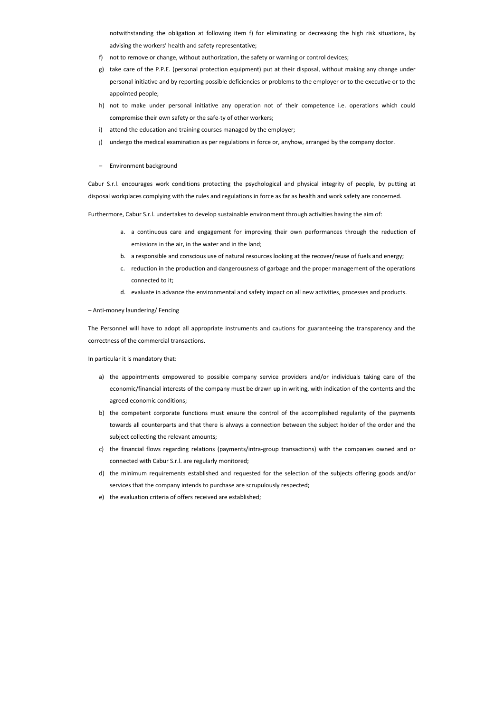notwithstanding the obligation at following item f) for eliminating or decreasing the high risk situations, by advising the workers' health and safety representative;

- f) not to remove or change, without authorization, the safety or warning or control devices;
- g) take care of the P.P.E. (personal protection equipment) put at their disposal, without making any change under personal initiative and by reporting possible deficiencies or problems to the employer or to the executive or to the appointed people;
- h) not to make under personal initiative any operation not of their competence i.e. operations which could compromise their own safety or the safe-ty of other workers;
- i) attend the education and training courses managed by the employer;
- j) undergo the medical examination as per regulations in force or, anyhow, arranged by the company doctor.
- Environment background

Cabur S.r.l. encourages work conditions protecting the psychological and physical integrity of people, by putting at disposal workplaces complying with the rules and regulations in force as far as health and work safety are concerned.

Furthermore, Cabur S.r.l. undertakes to develop sustainable environment through activities having the aim of:

- a. a continuous care and engagement for improving their own performances through the reduction of emissions in the air, in the water and in the land;
- b. a responsible and conscious use of natural resources looking at the recover/reuse of fuels and energy;
- c. reduction in the production and dangerousness of garbage and the proper management of the operations connected to it;
- d. evaluate in advance the environmental and safety impact on all new activities, processes and products.

– Anti-money laundering/ Fencing

The Personnel will have to adopt all appropriate instruments and cautions for guaranteeing the transparency and the correctness of the commercial transactions.

In particular it is mandatory that:

- a) the appointments empowered to possible company service providers and/or individuals taking care of the economic/financial interests of the company must be drawn up in writing, with indication of the contents and the agreed economic conditions;
- b) the competent corporate functions must ensure the control of the accomplished regularity of the payments towards all counterparts and that there is always a connection between the subject holder of the order and the subject collecting the relevant amounts;
- c) the financial flows regarding relations (payments/intra-group transactions) with the companies owned and or connected with Cabur S.r.l. are regularly monitored;
- d) the minimum requirements established and requested for the selection of the subjects offering goods and/or services that the company intends to purchase are scrupulously respected;
- e) the evaluation criteria of offers received are established;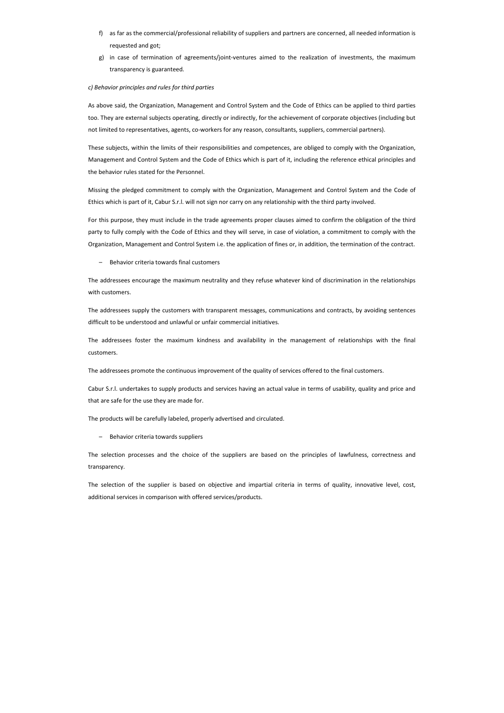- f) as far as the commercial/professional reliability of suppliers and partners are concerned, all needed information is requested and got;
- g) in case of termination of agreements/joint-ventures aimed to the realization of investments, the maximum transparency is guaranteed.

# *c) Behavior principles and rules for third parties*

As above said, the Organization, Management and Control System and the Code of Ethics can be applied to third parties too. They are external subjects operating, directly or indirectly, for the achievement of corporate objectives (including but not limited to representatives, agents, co-workers for any reason, consultants, suppliers, commercial partners).

These subjects, within the limits of their responsibilities and competences, are obliged to comply with the Organization, Management and Control System and the Code of Ethics which is part of it, including the reference ethical principles and the behavior rules stated for the Personnel.

Missing the pledged commitment to comply with the Organization, Management and Control System and the Code of Ethics which is part of it, Cabur S.r.l. will not sign nor carry on any relationship with the third party involved.

For this purpose, they must include in the trade agreements proper clauses aimed to confirm the obligation of the third party to fully comply with the Code of Ethics and they will serve, in case of violation, a commitment to comply with the Organization, Management and Control System i.e. the application of fines or, in addition, the termination of the contract.

– Behavior criteria towards final customers

The addressees encourage the maximum neutrality and they refuse whatever kind of discrimination in the relationships with customers.

The addressees supply the customers with transparent messages, communications and contracts, by avoiding sentences difficult to be understood and unlawful or unfair commercial initiatives.

The addressees foster the maximum kindness and availability in the management of relationships with the final customers.

The addressees promote the continuous improvement of the quality of services offered to the final customers.

Cabur S.r.l. undertakes to supply products and services having an actual value in terms of usability, quality and price and that are safe for the use they are made for.

The products will be carefully labeled, properly advertised and circulated.

– Behavior criteria towards suppliers

The selection processes and the choice of the suppliers are based on the principles of lawfulness, correctness and transparency.

The selection of the supplier is based on objective and impartial criteria in terms of quality, innovative level, cost, additional services in comparison with offered services/products.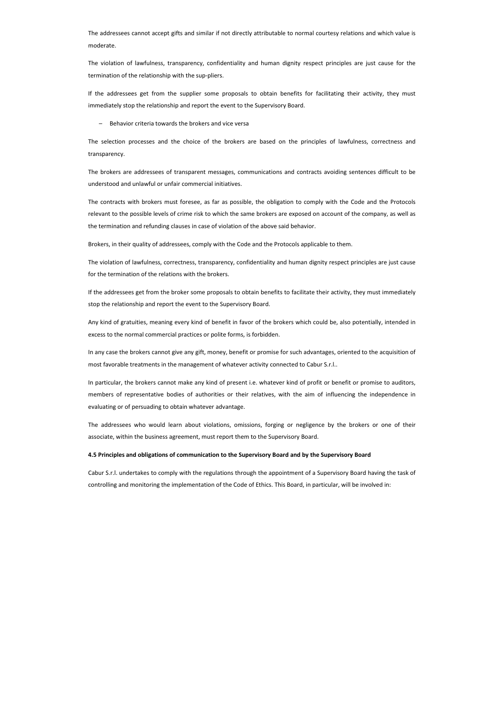The addressees cannot accept gifts and similar if not directly attributable to normal courtesy relations and which value is moderate.

The violation of lawfulness, transparency, confidentiality and human dignity respect principles are just cause for the termination of the relationship with the sup-pliers.

If the addressees get from the supplier some proposals to obtain benefits for facilitating their activity, they must immediately stop the relationship and report the event to the Supervisory Board.

– Behavior criteria towards the brokers and vice versa

The selection processes and the choice of the brokers are based on the principles of lawfulness, correctness and transparency.

The brokers are addressees of transparent messages, communications and contracts avoiding sentences difficult to be understood and unlawful or unfair commercial initiatives.

The contracts with brokers must foresee, as far as possible, the obligation to comply with the Code and the Protocols relevant to the possible levels of crime risk to which the same brokers are exposed on account of the company, as well as the termination and refunding clauses in case of violation of the above said behavior.

Brokers, in their quality of addressees, comply with the Code and the Protocols applicable to them.

The violation of lawfulness, correctness, transparency, confidentiality and human dignity respect principles are just cause for the termination of the relations with the brokers.

If the addressees get from the broker some proposals to obtain benefits to facilitate their activity, they must immediately stop the relationship and report the event to the Supervisory Board.

Any kind of gratuities, meaning every kind of benefit in favor of the brokers which could be, also potentially, intended in excess to the normal commercial practices or polite forms, is forbidden.

In any case the brokers cannot give any gift, money, benefit or promise for such advantages, oriented to the acquisition of most favorable treatments in the management of whatever activity connected to Cabur S.r.l..

In particular, the brokers cannot make any kind of present i.e. whatever kind of profit or benefit or promise to auditors, members of representative bodies of authorities or their relatives, with the aim of influencing the independence in evaluating or of persuading to obtain whatever advantage.

The addressees who would learn about violations, omissions, forging or negligence by the brokers or one of their associate, within the business agreement, must report them to the Supervisory Board.

#### **4.5 Principles and obligations of communication to the Supervisory Board and by the Supervisory Board**

Cabur S.r.l. undertakes to comply with the regulations through the appointment of a Supervisory Board having the task of controlling and monitoring the implementation of the Code of Ethics. This Board, in particular, will be involved in: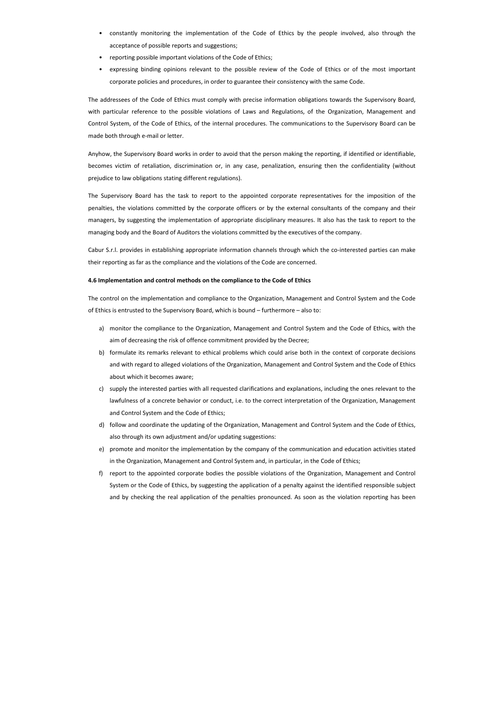- constantly monitoring the implementation of the Code of Ethics by the people involved, also through the acceptance of possible reports and suggestions;
- reporting possible important violations of the Code of Ethics;
- expressing binding opinions relevant to the possible review of the Code of Ethics or of the most important corporate policies and procedures, in order to guarantee their consistency with the same Code.

The addressees of the Code of Ethics must comply with precise information obligations towards the Supervisory Board, with particular reference to the possible violations of Laws and Regulations, of the Organization, Management and Control System, of the Code of Ethics, of the internal procedures. The communications to the Supervisory Board can be made both through e-mail or letter.

Anyhow, the Supervisory Board works in order to avoid that the person making the reporting, if identified or identifiable, becomes victim of retaliation, discrimination or, in any case, penalization, ensuring then the confidentiality (without prejudice to law obligations stating different regulations).

The Supervisory Board has the task to report to the appointed corporate representatives for the imposition of the penalties, the violations committed by the corporate officers or by the external consultants of the company and their managers, by suggesting the implementation of appropriate disciplinary measures. It also has the task to report to the managing body and the Board of Auditors the violations committed by the executives of the company.

Cabur S.r.l. provides in establishing appropriate information channels through which the co-interested parties can make their reporting as far as the compliance and the violations of the Code are concerned.

## **4.6 Implementation and control methods on the compliance to the Code of Ethics**

The control on the implementation and compliance to the Organization, Management and Control System and the Code of Ethics is entrusted to the Supervisory Board, which is bound – furthermore – also to:

- a) monitor the compliance to the Organization, Management and Control System and the Code of Ethics, with the aim of decreasing the risk of offence commitment provided by the Decree;
- b) formulate its remarks relevant to ethical problems which could arise both in the context of corporate decisions and with regard to alleged violations of the Organization, Management and Control System and the Code of Ethics about which it becomes aware;
- c) supply the interested parties with all requested clarifications and explanations, including the ones relevant to the lawfulness of a concrete behavior or conduct, i.e. to the correct interpretation of the Organization, Management and Control System and the Code of Ethics;
- d) follow and coordinate the updating of the Organization, Management and Control System and the Code of Ethics, also through its own adjustment and/or updating suggestions:
- e) promote and monitor the implementation by the company of the communication and education activities stated in the Organization, Management and Control System and, in particular, in the Code of Ethics;
- f) report to the appointed corporate bodies the possible violations of the Organization, Management and Control System or the Code of Ethics, by suggesting the application of a penalty against the identified responsible subject and by checking the real application of the penalties pronounced. As soon as the violation reporting has been